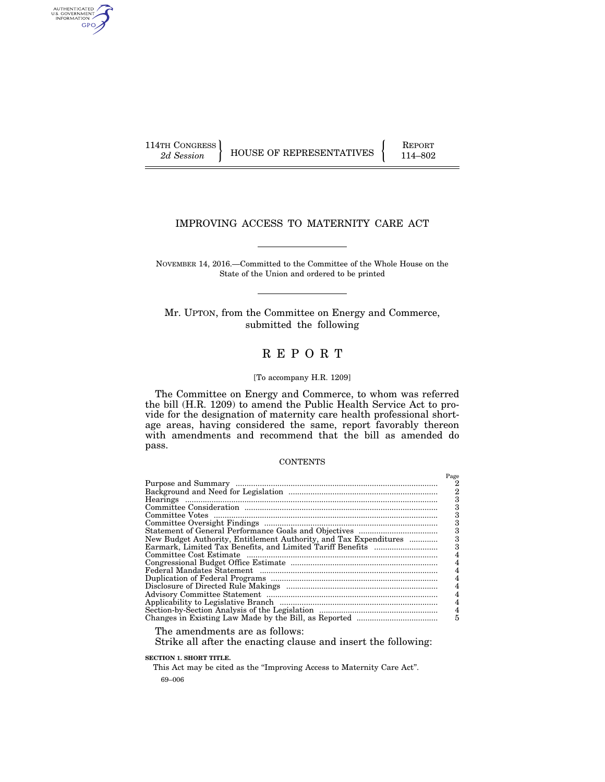AUTHENTICATED<br>U.S. GOVERNMENT<br>INFORMATION GPO

114TH CONGRESS HOUSE OF REPRESENTATIVES FEPORT 114–802

## IMPROVING ACCESS TO MATERNITY CARE ACT

NOVEMBER 14, 2016.—Committed to the Committee of the Whole House on the State of the Union and ordered to be printed

Mr. UPTON, from the Committee on Energy and Commerce, submitted the following

# R E P O R T

#### [To accompany H.R. 1209]

The Committee on Energy and Commerce, to whom was referred the bill (H.R. 1209) to amend the Public Health Service Act to provide for the designation of maternity care health professional shortage areas, having considered the same, report favorably thereon with amendments and recommend that the bill as amended do pass.

## **CONTENTS**

|                                                                   | Page |
|-------------------------------------------------------------------|------|
|                                                                   |      |
|                                                                   |      |
|                                                                   |      |
|                                                                   | 3    |
|                                                                   | З    |
|                                                                   | З    |
|                                                                   | 3    |
| New Budget Authority, Entitlement Authority, and Tax Expenditures | 3    |
|                                                                   |      |
|                                                                   |      |
|                                                                   |      |
|                                                                   |      |
|                                                                   |      |
|                                                                   |      |
|                                                                   |      |
|                                                                   |      |
|                                                                   |      |
|                                                                   | 5    |
|                                                                   |      |

The amendments are as follows:

Strike all after the enacting clause and insert the following:

**SECTION 1. SHORT TITLE.** 

69–006 This Act may be cited as the "Improving Access to Maternity Care Act".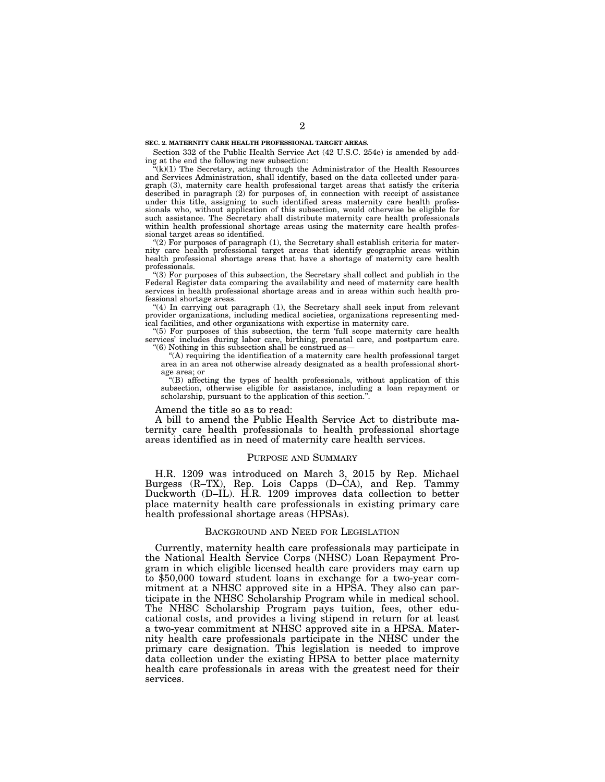#### **SEC. 2. MATERNITY CARE HEALTH PROFESSIONAL TARGET AREAS.**

Section 332 of the Public Health Service Act (42 U.S.C. 254e) is amended by adding at the end the following new subsection:

 $\tilde{f}(k)(1)$  The Secretary, acting through the Administrator of the Health Resources and Services Administration, shall identify, based on the data collected under paragraph (3), maternity care health professional target areas that satisfy the criteria described in paragraph (2) for purposes of, in connection with receipt of assistance under this title, assigning to such identified areas maternity care health professionals who, without application of this subsection, would otherwise be eligible for such assistance. The Secretary shall distribute maternity care health professionals within health professional shortage areas using the maternity care health professional target areas so identified.

"(2) For purposes of paragraph (1), the Secretary shall establish criteria for maternity care health professional target areas that identify geographic areas within health professional shortage areas that have a shortage of maternity care health professionals.

''(3) For purposes of this subsection, the Secretary shall collect and publish in the Federal Register data comparing the availability and need of maternity care health services in health professional shortage areas and in areas within such health professional shortage areas.

''(4) In carrying out paragraph (1), the Secretary shall seek input from relevant provider organizations, including medical societies, organizations representing medical facilities, and other organizations with expertise in maternity care.

''(5) For purposes of this subsection, the term 'full scope maternity care health services' includes during labor care, birthing, prenatal care, and postpartum care. ''(6) Nothing in this subsection shall be construed as—

''(A) requiring the identification of a maternity care health professional target area in an area not otherwise already designated as a health professional shortage area; or

''(B) affecting the types of health professionals, without application of this subsection, otherwise eligible for assistance, including a loan repayment or scholarship, pursuant to the application of this section.''.

Amend the title so as to read:

A bill to amend the Public Health Service Act to distribute maternity care health professionals to health professional shortage areas identified as in need of maternity care health services.

#### PURPOSE AND SUMMARY

H.R. 1209 was introduced on March 3, 2015 by Rep. Michael Burgess (R–TX), Rep. Lois Capps (D–CA), and Rep. Tammy Duckworth (D–IL). H.R. 1209 improves data collection to better place maternity health care professionals in existing primary care health professional shortage areas (HPSAs).

#### BACKGROUND AND NEED FOR LEGISLATION

Currently, maternity health care professionals may participate in the National Health Service Corps (NHSC) Loan Repayment Program in which eligible licensed health care providers may earn up to \$50,000 toward student loans in exchange for a two-year commitment at a NHSC approved site in a HPSA. They also can participate in the NHSC Scholarship Program while in medical school. The NHSC Scholarship Program pays tuition, fees, other educational costs, and provides a living stipend in return for at least a two-year commitment at NHSC approved site in a HPSA. Maternity health care professionals participate in the NHSC under the primary care designation. This legislation is needed to improve data collection under the existing HPSA to better place maternity health care professionals in areas with the greatest need for their services.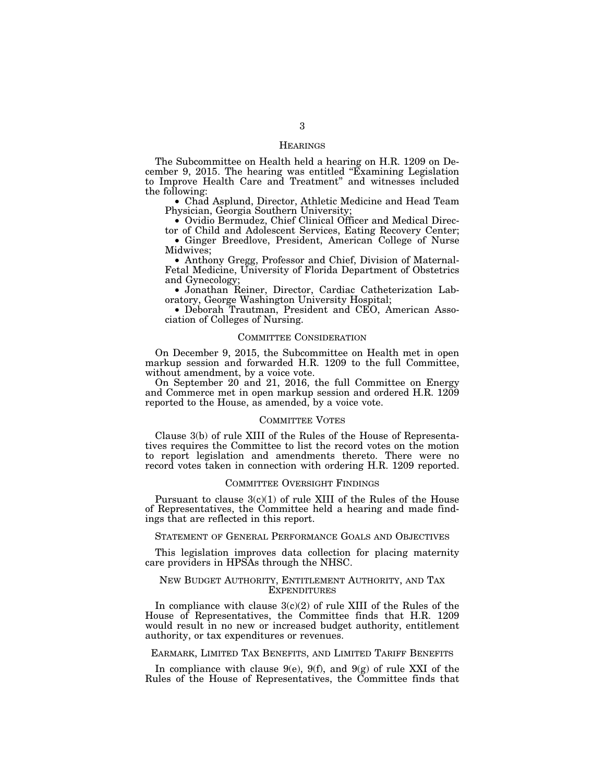## **HEARINGS**

The Subcommittee on Health held a hearing on H.R. 1209 on December 9, 2015. The hearing was entitled ''Examining Legislation to Improve Health Care and Treatment'' and witnesses included the following:

• Chad Asplund, Director, Athletic Medicine and Head Team Physician, Georgia Southern University;

• Ovidio Bermudez, Chief Clinical Officer and Medical Direc-

tor of Child and Adolescent Services, Eating Recovery Center; • Ginger Breedlove, President, American College of Nurse Midwives;

• Anthony Gregg, Professor and Chief, Division of Maternal-Fetal Medicine, University of Florida Department of Obstetrics and Gynecology;

• Jonathan Reiner, Director, Cardiac Catheterization Laboratory, George Washington University Hospital;

• Deborah Trautman, President and CEO, American Association of Colleges of Nursing.

## COMMITTEE CONSIDERATION

On December 9, 2015, the Subcommittee on Health met in open markup session and forwarded H.R. 1209 to the full Committee, without amendment, by a voice vote.

On September 20 and 21, 2016, the full Committee on Energy and Commerce met in open markup session and ordered H.R. 1209 reported to the House, as amended, by a voice vote.

### COMMITTEE VOTES

Clause 3(b) of rule XIII of the Rules of the House of Representatives requires the Committee to list the record votes on the motion to report legislation and amendments thereto. There were no record votes taken in connection with ordering H.R. 1209 reported.

#### COMMITTEE OVERSIGHT FINDINGS

Pursuant to clause 3(c)(1) of rule XIII of the Rules of the House of Representatives, the Committee held a hearing and made findings that are reflected in this report.

#### STATEMENT OF GENERAL PERFORMANCE GOALS AND OBJECTIVES

This legislation improves data collection for placing maternity care providers in HPSAs through the NHSC.

### NEW BUDGET AUTHORITY, ENTITLEMENT AUTHORITY, AND TAX **EXPENDITURES**

In compliance with clause  $3(c)(2)$  of rule XIII of the Rules of the House of Representatives, the Committee finds that H.R. 1209 would result in no new or increased budget authority, entitlement authority, or tax expenditures or revenues.

EARMARK, LIMITED TAX BENEFITS, AND LIMITED TARIFF BENEFITS

In compliance with clause 9(e), 9(f), and 9(g) of rule XXI of the Rules of the House of Representatives, the Committee finds that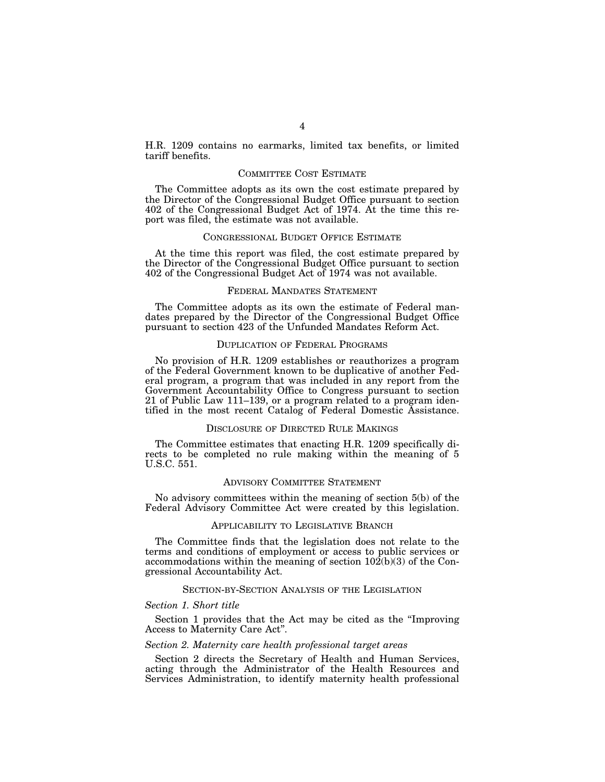H.R. 1209 contains no earmarks, limited tax benefits, or limited tariff benefits.

## COMMITTEE COST ESTIMATE

The Committee adopts as its own the cost estimate prepared by the Director of the Congressional Budget Office pursuant to section 402 of the Congressional Budget Act of 1974. At the time this report was filed, the estimate was not available.

#### CONGRESSIONAL BUDGET OFFICE ESTIMATE

At the time this report was filed, the cost estimate prepared by the Director of the Congressional Budget Office pursuant to section 402 of the Congressional Budget Act of 1974 was not available.

#### FEDERAL MANDATES STATEMENT

The Committee adopts as its own the estimate of Federal mandates prepared by the Director of the Congressional Budget Office pursuant to section 423 of the Unfunded Mandates Reform Act.

## DUPLICATION OF FEDERAL PROGRAMS

No provision of H.R. 1209 establishes or reauthorizes a program of the Federal Government known to be duplicative of another Federal program, a program that was included in any report from the Government Accountability Office to Congress pursuant to section 21 of Public Law 111–139, or a program related to a program identified in the most recent Catalog of Federal Domestic Assistance.

## DISCLOSURE OF DIRECTED RULE MAKINGS

The Committee estimates that enacting H.R. 1209 specifically directs to be completed no rule making within the meaning of 5 U.S.C. 551.

### ADVISORY COMMITTEE STATEMENT

No advisory committees within the meaning of section 5(b) of the Federal Advisory Committee Act were created by this legislation.

#### APPLICABILITY TO LEGISLATIVE BRANCH

The Committee finds that the legislation does not relate to the terms and conditions of employment or access to public services or accommodations within the meaning of section  $10\overline{2}(b)(3)$  of the Congressional Accountability Act.

## SECTION-BY-SECTION ANALYSIS OF THE LEGISLATION

## *Section 1. Short title*

Section 1 provides that the Act may be cited as the ''Improving Access to Maternity Care Act''.

## *Section 2. Maternity care health professional target areas*

Section 2 directs the Secretary of Health and Human Services, acting through the Administrator of the Health Resources and Services Administration, to identify maternity health professional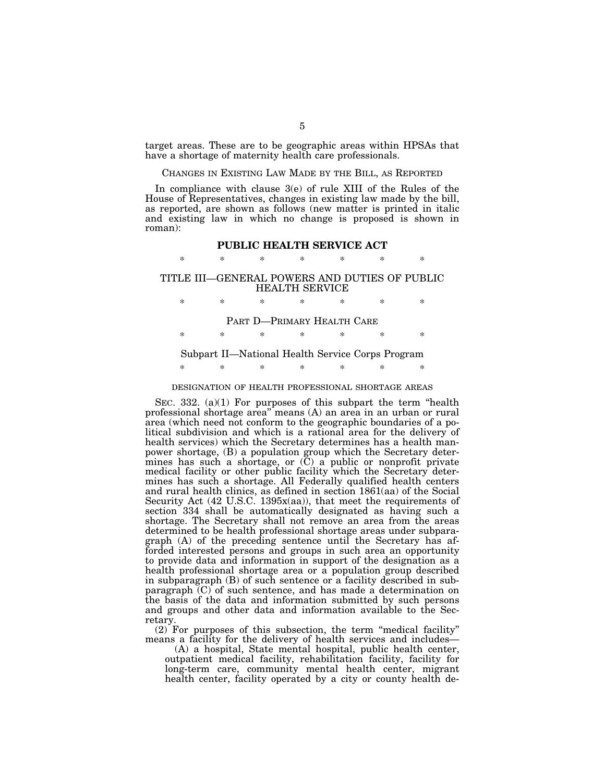target areas. These are to be geographic areas within HPSAs that have a shortage of maternity health care professionals.

## CHANGES IN EXISTING LAW MADE BY THE BILL, AS REPORTED

In compliance with clause 3(e) of rule XIII of the Rules of the House of Representatives, changes in existing law made by the bill, as reported, are shown as follows (new matter is printed in italic and existing law in which no change is proposed is shown in roman):

## **PUBLIC HEALTH SERVICE ACT**

\* \* \* \* \* \* \*

## TITLE III—GENERAL POWERS AND DUTIES OF PUBLIC HEALTH SERVICE

\* \* \* \* \* \* \*

## PART D—PRIMARY HEALTH CARE

\* \* \* \* \* \* \*

### Subpart II—National Health Service Corps Program

\* \* \* \* \* \* \*

#### DESIGNATION OF HEALTH PROFESSIONAL SHORTAGE AREAS

SEC. 332. (a)(1) For purposes of this subpart the term "health" professional shortage area'' means (A) an area in an urban or rural area (which need not conform to the geographic boundaries of a political subdivision and which is a rational area for the delivery of health services) which the Secretary determines has a health manpower shortage, (B) a population group which the Secretary determines has such a shortage, or  $(C)$  a public or nonprofit private medical facility or other public facility which the Secretary determines has such a shortage. All Federally qualified health centers and rural health clinics, as defined in section 1861(aa) of the Social Security Act (42 U.S.C. 1395x(aa)), that meet the requirements of section 334 shall be automatically designated as having such a shortage. The Secretary shall not remove an area from the areas determined to be health professional shortage areas under subparagraph (A) of the preceding sentence until the Secretary has afforded interested persons and groups in such area an opportunity to provide data and information in support of the designation as a health professional shortage area or a population group described in subparagraph (B) of such sentence or a facility described in subparagraph  $(C)$  of such sentence, and has made a determination on the basis of the data and information submitted by such persons and groups and other data and information available to the Secretary.

(2) For purposes of this subsection, the term ''medical facility'' means a facility for the delivery of health services and includes—

(A) a hospital, State mental hospital, public health center, outpatient medical facility, rehabilitation facility, facility for long-term care, community mental health center, migrant health center, facility operated by a city or county health de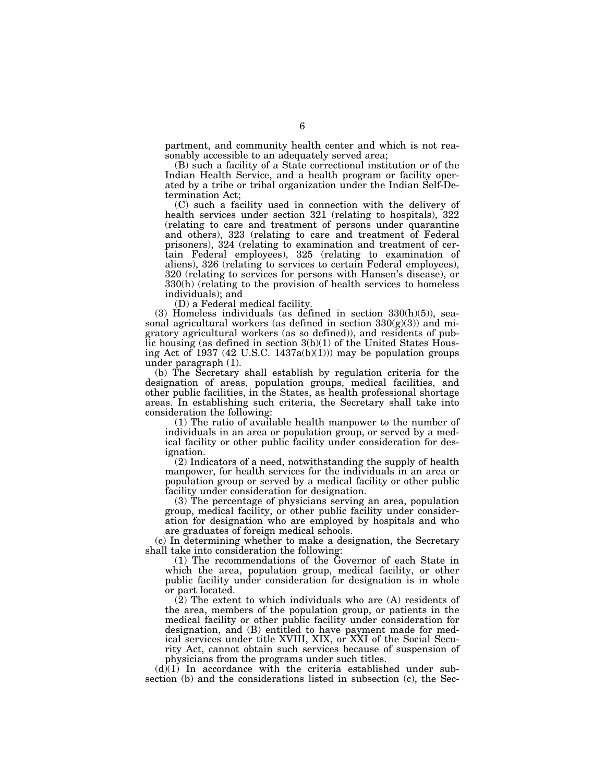partment, and community health center and which is not reasonably accessible to an adequately served area;

(B) such a facility of a State correctional institution or of the Indian Health Service, and a health program or facility operated by a tribe or tribal organization under the Indian Self-Determination Act;

(C) such a facility used in connection with the delivery of health services under section 321 (relating to hospitals), 322 (relating to care and treatment of persons under quarantine and others), 323 (relating to care and treatment of Federal prisoners), 324 (relating to examination and treatment of certain Federal employees), 325 (relating to examination of aliens), 326 (relating to services to certain Federal employees), 320 (relating to services for persons with Hansen's disease), or 330(h) (relating to the provision of health services to homeless individuals); and

(D) a Federal medical facility.

(3) Homeless individuals (as defined in section  $330(h)(5)$ ), seasonal agricultural workers (as defined in section  $330(g)(3)$ ) and migratory agricultural workers (as so defined)), and residents of public housing (as defined in section  $3(b)(1)$  of the United States Housing Act of 1937 (42 U.S.C. 1437a(b)(1))) may be population groups under paragraph (1).

(b) The Secretary shall establish by regulation criteria for the designation of areas, population groups, medical facilities, and other public facilities, in the States, as health professional shortage areas. In establishing such criteria, the Secretary shall take into consideration the following:

(1) The ratio of available health manpower to the number of individuals in an area or population group, or served by a medical facility or other public facility under consideration for designation.

(2) Indicators of a need, notwithstanding the supply of health manpower, for health services for the individuals in an area or population group or served by a medical facility or other public facility under consideration for designation.

(3) The percentage of physicians serving an area, population group, medical facility, or other public facility under consideration for designation who are employed by hospitals and who are graduates of foreign medical schools.

(c) In determining whether to make a designation, the Secretary shall take into consideration the following:

(1) The recommendations of the Governor of each State in which the area, population group, medical facility, or other public facility under consideration for designation is in whole or part located.

(2) The extent to which individuals who are (A) residents of the area, members of the population group, or patients in the medical facility or other public facility under consideration for designation, and (B) entitled to have payment made for medical services under title XVIII, XIX, or XXI of the Social Security Act, cannot obtain such services because of suspension of physicians from the programs under such titles.

 $(d)(1)$  In accordance with the criteria established under subsection (b) and the considerations listed in subsection (c), the Sec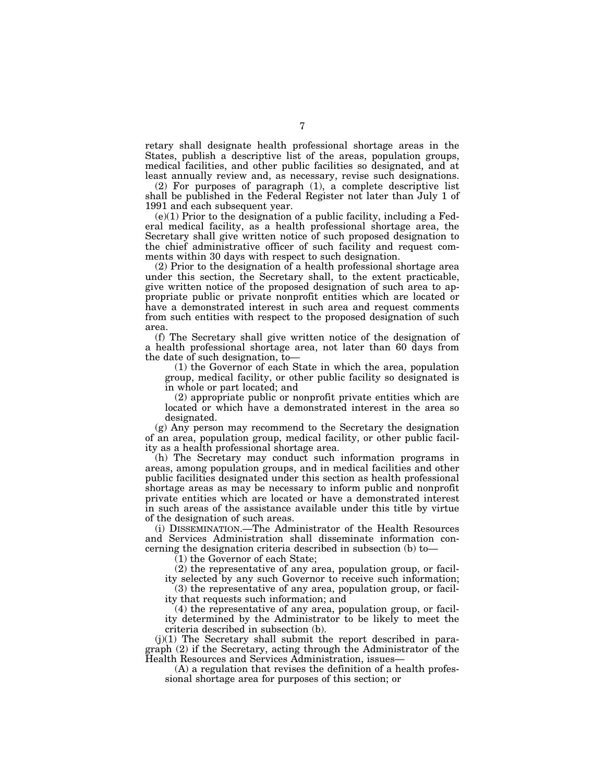retary shall designate health professional shortage areas in the States, publish a descriptive list of the areas, population groups, medical facilities, and other public facilities so designated, and at least annually review and, as necessary, revise such designations.

(2) For purposes of paragraph (1), a complete descriptive list shall be published in the Federal Register not later than July 1 of 1991 and each subsequent year.

(e)(1) Prior to the designation of a public facility, including a Federal medical facility, as a health professional shortage area, the Secretary shall give written notice of such proposed designation to the chief administrative officer of such facility and request comments within 30 days with respect to such designation.

(2) Prior to the designation of a health professional shortage area under this section, the Secretary shall, to the extent practicable, give written notice of the proposed designation of such area to appropriate public or private nonprofit entities which are located or have a demonstrated interest in such area and request comments from such entities with respect to the proposed designation of such area.

(f) The Secretary shall give written notice of the designation of a health professional shortage area, not later than 60 days from the date of such designation, to—

(1) the Governor of each State in which the area, population group, medical facility, or other public facility so designated is in whole or part located; and

(2) appropriate public or nonprofit private entities which are located or which have a demonstrated interest in the area so designated.

(g) Any person may recommend to the Secretary the designation of an area, population group, medical facility, or other public facility as a health professional shortage area.

(h) The Secretary may conduct such information programs in areas, among population groups, and in medical facilities and other public facilities designated under this section as health professional shortage areas as may be necessary to inform public and nonprofit private entities which are located or have a demonstrated interest in such areas of the assistance available under this title by virtue of the designation of such areas.

(i) DISSEMINATION.—The Administrator of the Health Resources and Services Administration shall disseminate information concerning the designation criteria described in subsection (b) to—

(1) the Governor of each State;

(2) the representative of any area, population group, or facility selected by any such Governor to receive such information;

(3) the representative of any area, population group, or facility that requests such information; and

(4) the representative of any area, population group, or facility determined by the Administrator to be likely to meet the criteria described in subsection (b).

 $(j)(1)$  The Secretary shall submit the report described in paragraph (2) if the Secretary, acting through the Administrator of the Health Resources and Services Administration, issues—

(A) a regulation that revises the definition of a health professional shortage area for purposes of this section; or